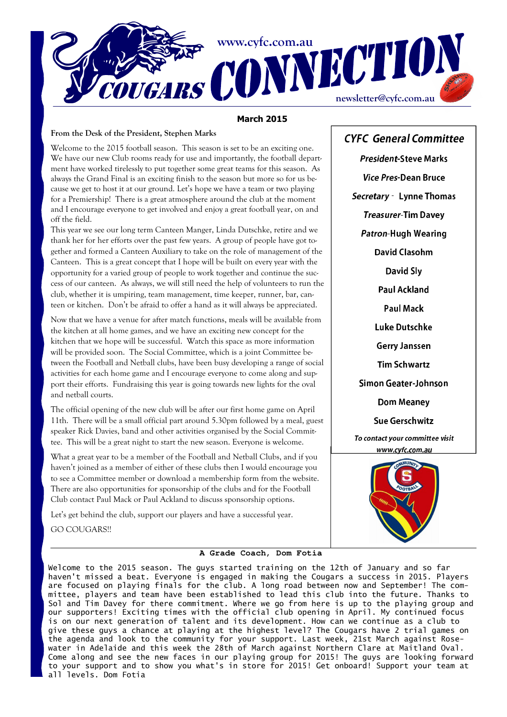

#### March 2015

#### From the Desk of the President, Stephen Marks

Welcome to the 2015 football season. This season is set to be an exciting one. We have our new Club rooms ready for use and importantly, the football department have worked tirelessly to put together some great teams for this season. As always the Grand Final is an exciting finish to the season but more so for us because we get to host it at our ground. Let's hope we have a team or two playing for a Premiership! There is a great atmosphere around the club at the moment and I encourage everyone to get involved and enjoy a great football year, on and off the field.

This year we see our long term Canteen Manger, Linda Dutschke, retire and we thank her for her efforts over the past few years. A group of people have got together and formed a Canteen Auxiliary to take on the role of management of the Canteen. This is a great concept that I hope will be built on every year with the opportunity for a varied group of people to work together and continue the success of our canteen. As always, we will still need the help of volunteers to run the club, whether it is umpiring, team management, time keeper, runner, bar, canteen or kitchen. Don't be afraid to offer a hand as it will always be appreciated.

Now that we have a venue for after match functions, meals will be available from the kitchen at all home games, and we have an exciting new concept for the kitchen that we hope will be successful. Watch this space as more information will be provided soon. The Social Committee, which is a joint Committee between the Football and Netball clubs, have been busy developing a range of social activities for each home game and I encourage everyone to come along and support their efforts. Fundraising this year is going towards new lights for the oval and netball courts.

The official opening of the new club will be after our first home game on April 11th. There will be a small official part around 5.30pm followed by a meal, guest speaker Rick Davies, band and other activities organised by the Social Committee. This will be a great night to start the new season. Everyone is welcome.

What a great year to be a member of the Football and Netball Clubs, and if you haven't joined as a member of either of these clubs then I would encourage you to see a Committee member or download a membership form from the website. There are also opportunities for sponsorship of the clubs and for the Football Club contact Paul Mack or Paul Ackland to discuss sponsorship options.

Let's get behind the club, support our players and have a successful year.

GO COUGARS!!

President-Steve Marks Vice Pres-Dean Bruce Secretary– Lynne Thomas Treasurer-Tim Davey Patron-Hugh Wearing David Clasohm David Sly Paul Ackland Paul Mack Luke Dutschke Gerry Janssen Tim Schwartz Simon Geater-Johnson Dom Meaney Sue Gerschwitz To contact your committee visit www.cyfc.com.au

CYFC General Committee



#### **A Grade Coach, Dom Fotia**

Welcome to the 2015 season. The guys started training on the 12th of January and so far haven't missed a beat. Everyone is engaged in making the Cougars a success in 2015. Players are focused on playing finals for the club. A long road between now and September! The committee, players and team have been established to lead this club into the future. Thanks to Sol and Tim Davey for there commitment. Where we go from here is up to the playing group and our supporters! Exciting times with the official club opening in April. My continued focus is on our next generation of talent and its development. How can we continue as a club to give these guys a chance at playing at the highest level? The Cougars have 2 trial games on the agenda and look to the community for your support. Last week, 21st March against Rosewater in Adelaide and this week the 28th of March against Northern Clare at Maitland Oval. Come along and see the new faces in our playing group for 2015! The guys are looking forward to your support and to show you what's in store for 2015! Get onboard! Support your team at all levels. Dom Fotia